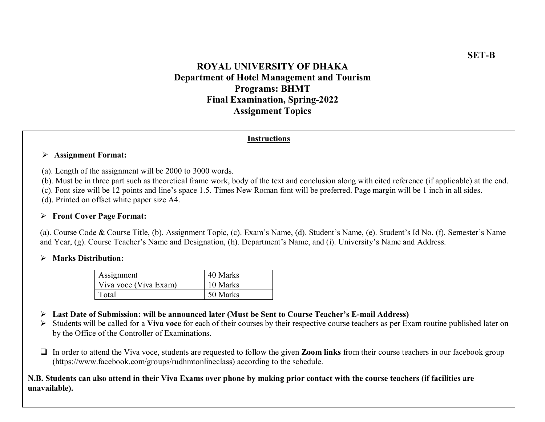# ROYAL UNIVERSITY OF DHAKA Department of Hotel Management and Tourism Programs: BHMT Final Examination, Spring-2022 Assignment Topics

#### Instructions

#### Assignment Format:

(a). Length of the assignment will be 2000 to 3000 words.

(b). Must be in three part such as theoretical frame work, body of the text and conclusion along with cited reference (if applicable) at the end.

(c). Font size will be 12 points and line's space 1.5. Times New Roman font will be preferred. Page margin will be 1 inch in all sides.

(d). Printed on offset white paper size A4.

#### Front Cover Page Format:

(a). Course Code & Course Title, (b). Assignment Topic, (c). Exam's Name, (d). Student's Name, (e). Student's Id No. (f). Semester's Name and Year, (g). Course Teacher's Name and Designation, (h). Department's Name, and (i). University's Name and Address.

### > Marks Distribution:

| Assignment            | 40 Marks |
|-----------------------|----------|
| Viva voce (Viva Exam) | 10 Marks |
| Total                 | 50 Marks |

- $\triangleright$  Last Date of Submission: will be announced later (Must be Sent to Course Teacher's E-mail Address)
- $\triangleright$  Students will be called for a Viva voce for each of their courses by their respective course teachers as per Exam routine published later on by the Office of the Controller of Examinations.
- $\Box$  In order to attend the Viva voce, students are requested to follow the given **Zoom links** from their course teachers in our facebook group (https://www.facebook.com/groups/rudhmtonlineclass) according to the schedule.

## N.B. Students can also attend in their Viva Exams over phone by making prior contact with the course teachers (if facilities are unavailable).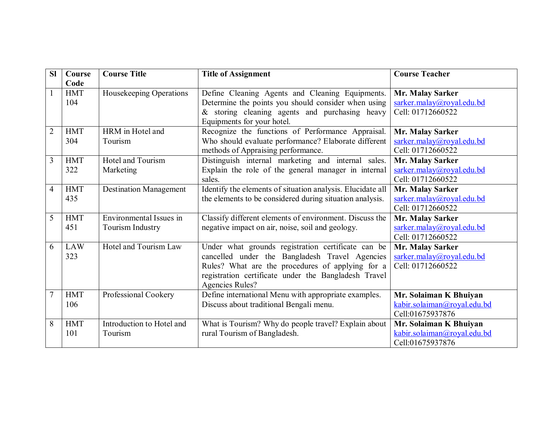| <b>SI</b>      | Course     | <b>Course Title</b>           | <b>Title of Assignment</b>                                 | <b>Course Teacher</b>       |
|----------------|------------|-------------------------------|------------------------------------------------------------|-----------------------------|
|                | Code       |                               |                                                            |                             |
| $\mathbf{1}$   | <b>HMT</b> | Housekeeping Operations       | Define Cleaning Agents and Cleaning Equipments.            | Mr. Malay Sarker            |
|                | 104        |                               | Determine the points you should consider when using        | sarker.malay@royal.edu.bd   |
|                |            |                               | & storing cleaning agents and purchasing heavy             | Cell: 01712660522           |
|                |            |                               | Equipments for your hotel.                                 |                             |
| $\overline{2}$ | <b>HMT</b> | HRM in Hotel and              | Recognize the functions of Performance Appraisal.          | Mr. Malay Sarker            |
|                | 304        | Tourism                       | Who should evaluate performance? Elaborate different       | sarker.malay@royal.edu.bd   |
|                |            |                               | methods of Appraising performance.                         | Cell: 01712660522           |
| 3              | <b>HMT</b> | Hotel and Tourism             | Distinguish internal marketing and internal sales.         | Mr. Malay Sarker            |
|                | 322        | Marketing                     | Explain the role of the general manager in internal        | sarker.malay@royal.edu.bd   |
|                |            |                               | sales.                                                     | Cell: 01712660522           |
| $\overline{4}$ | <b>HMT</b> | <b>Destination Management</b> | Identify the elements of situation analysis. Elucidate all | Mr. Malay Sarker            |
|                | 435        |                               | the elements to be considered during situation analysis.   | sarker.malay@royal.edu.bd   |
|                |            |                               |                                                            | Cell: 01712660522           |
| 5              | <b>HMT</b> | Environmental Issues in       | Classify different elements of environment. Discuss the    | Mr. Malay Sarker            |
|                | 451        | Tourism Industry              | negative impact on air, noise, soil and geology.           | sarker.malay@royal.edu.bd   |
|                |            |                               |                                                            | Cell: 01712660522           |
| 6              | <b>LAW</b> | Hotel and Tourism Law         | Under what grounds registration certificate can be         | Mr. Malay Sarker            |
|                | 323        |                               | cancelled under the Bangladesh Travel Agencies             | sarker.malay@royal.edu.bd   |
|                |            |                               | Rules? What are the procedures of applying for a           | Cell: 01712660522           |
|                |            |                               | registration certificate under the Bangladesh Travel       |                             |
|                |            |                               | <b>Agencies Rules?</b>                                     |                             |
| 7              | <b>HMT</b> | Professional Cookery          | Define international Menu with appropriate examples.       | Mr. Solaiman K Bhuiyan      |
|                | 106        |                               | Discuss about traditional Bengali menu.                    | kabir.solaiman@royal.edu.bd |
|                |            |                               |                                                            | Cell:01675937876            |
| 8              | <b>HMT</b> | Introduction to Hotel and     | What is Tourism? Why do people travel? Explain about       | Mr. Solaiman K Bhuiyan      |
|                | 101        | Tourism                       | rural Tourism of Bangladesh.                               | kabir.solaiman@royal.edu.bd |
|                |            |                               |                                                            | Cell:01675937876            |